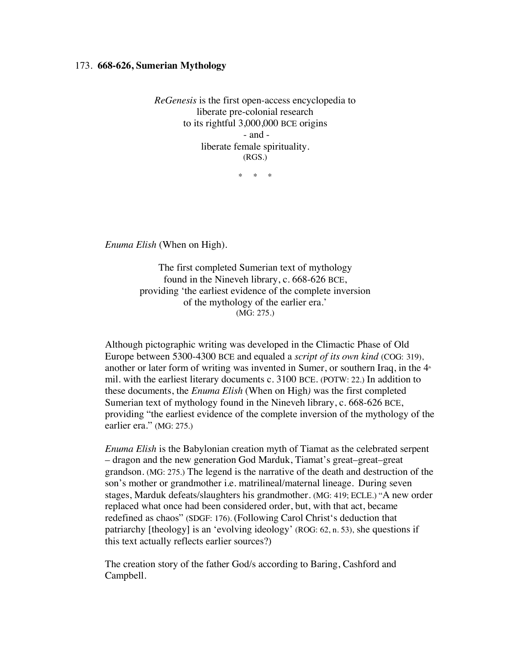## 173. **668-626, Sumerian Mythology**

*ReGenesis* is the first open-access encyclopedia to liberate pre-colonial research to its rightful 3,000,000 BCE origins - and liberate female spirituality. (RGS.)

\* \* \*

*Enuma Elish* (When on High).

The first completed Sumerian text of mythology found in the Nineveh library, c. 668-626 BCE, providing 'the earliest evidence of the complete inversion of the mythology of the earlier era.' (MG: 275.)

Although pictographic writing was developed in the Climactic Phase of Old Europe between 5300-4300 BCE and equaled a *script of its own kind* (COG: 319), another or later form of writing was invented in Sumer, or southern Iraq, in the  $4<sup>*</sup>$ mil. with the earliest literary documents c. 3100 BCE. (POTW: 22.) In addition to these documents, the *Enuma Elish* (When on High*)* was the first completed Sumerian text of mythology found in the Nineveh library, c. 668-626 BCE, providing "the earliest evidence of the complete inversion of the mythology of the earlier era." (MG: 275.)

*Enuma Elish* is the Babylonian creation myth of Tiamat as the celebrated serpent – dragon and the new generation God Marduk, Tiamat's great–great–great grandson. (MG: 275.) The legend is the narrative of the death and destruction of the son's mother or grandmother i.e. matrilineal/maternal lineage. During seven stages, Marduk defeats/slaughters his grandmother. (MG: 419; ECLE.) "A new order replaced what once had been considered order, but, with that act, became redefined as chaos" (SDGF: 176). (Following Carol Christ's deduction that patriarchy [theology] is an 'evolving ideology' (ROG: 62, n. 53), she questions if this text actually reflects earlier sources?)

The creation story of the father God/s according to Baring, Cashford and Campbell.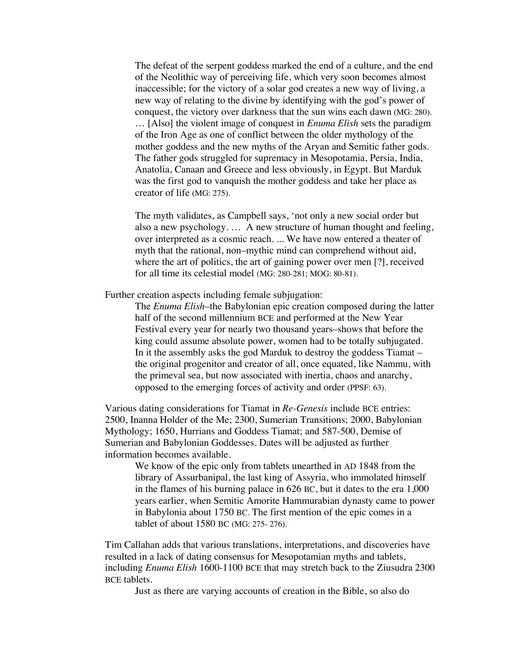The defeat of the serpent goddess marked the end of a culture, and the end of the Neolithic way of perceiving life, which very soon becomes almost inaccessible; for the victory of a solar god creates a new way of living, a new way of relating to the divine by identifying with the god's power of conquest, the victory over darkness that the sun wins each dawn (MG: 280). … [Also] the violent image of conquest in *Enuma Elish* sets the paradigm of the Iron Age as one of conflict between the older mythology of the mother goddess and the new myths of the Aryan and Semitic father gods. The father gods struggled for supremacy in Mesopotamia, Persia, India, Anatolia, Canaan and Greece and less obviously, in Egypt. But Marduk was the first god to vanquish the mother goddess and take her place as creator of life (MG: 275).

The myth validates, as Campbell says, 'not only a new social order but also a new psychology. … A new structure of human thought and feeling, over interpreted as a cosmic reach. ... We have now entered a theater of myth that the rational, non–mythic mind can comprehend without aid, where the art of politics, the art of gaining power over men [?], received for all time its celestial model (MG: 280-281; MOG: 80-81).

Further creation aspects including female subjugation:

The *Enuma Elish*–the Babylonian epic creation composed during the latter half of the second millennium BCE and performed at the New Year Festival every year for nearly two thousand years–shows that before the king could assume absolute power, women had to be totally subjugated. In it the assembly asks the god Marduk to destroy the goddess Tiamat – the original progenitor and creator of all, once equated, like Nammu, with the primeval sea, but now associated with inertia, chaos and anarchy, opposed to the emerging forces of activity and order (PPSF: 63).

Various dating considerations for Tiamat in *Re-Genesis* include BCE entries: 2500, Inanna Holder of the Me; 2300, Sumerian Transitions; 2000, Babylonian Mythology; 1650, Hurrians and Goddess Tiamat; and 587-500, Demise of Sumerian and Babylonian Goddesses. Dates will be adjusted as further information becomes available.

We know of the epic only from tablets unearthed in AD 1848 from the library of Assurbanipal, the last king of Assyria, who immolated himself in the flames of his burning palace in 626 BC, but it dates to the era 1,000 years earlier, when Semitic Amorite Hammurabian dynasty came to power in Babylonia about 1750 BC. The first mention of the epic comes in a tablet of about 1580 BC (MG: 275- 276).

Tim Callahan adds that various translations, interpretations, and discoveries have resulted in a lack of dating consensus for Mesopotamian myths and tablets, including *Enuma Elish* 1600-1100 BCE that may stretch back to the Ziusudra 2300 BCE tablets.

Just as there are varying accounts of creation in the Bible, so also do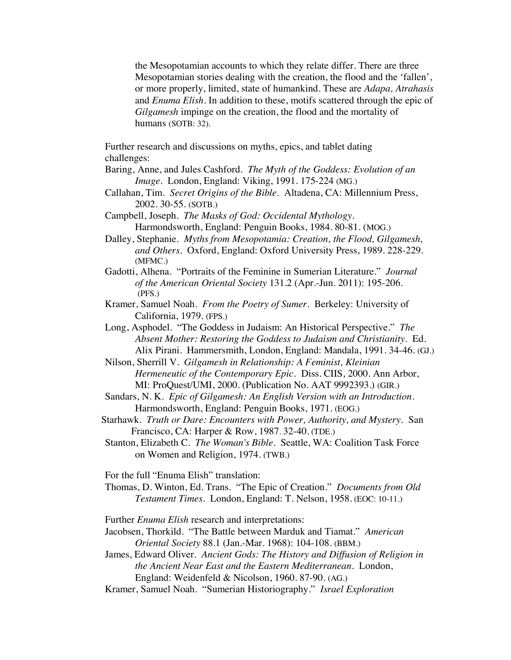the Mesopotamian accounts to which they relate differ. There are three Mesopotamian stories dealing with the creation, the flood and the 'fallen', or more properly, limited, state of humankind. These are *Adapa, Atrahasis*  and *Enuma Elish.* In addition to these, motifs scattered through the epic of *Gilgamesh* impinge on the creation, the flood and the mortality of humans (SOTB: 32).

Further research and discussions on myths, epics, and tablet dating challenges:

- Baring, Anne, and Jules Cashford. *The Myth of the Goddess: Evolution of an Image*. London, England: Viking, 1991. 175-224 (MG.)
- Callahan, Tim. *Secret Origins of the Bible.* Altadena, CA: Millennium Press, 2002. 30-55. (SOTB.)
- Campbell, Joseph. *The Masks of God: Occidental Mythology.* Harmondsworth, England: Penguin Books, 1984. 80-81. (MOG.)
- Dalley, Stephanie. *Myths from Mesopotamia: Creation, the Flood, Gilgamesh, and Others*. Oxford, England: Oxford University Press, 1989. 228-229. (MFMC.)
- Gadotti, Alhena. "Portraits of the Feminine in Sumerian Literature." *Journal of the American Oriental Society* 131.2 (Apr.-Jun. 2011): 195-206. (PFS.)
- Kramer, Samuel Noah. *From the Poetry of Sumer*. Berkeley: University of California, 1979. (FPS.)
- Long, Asphodel. "The Goddess in Judaism: An Historical Perspective." *The Absent Mother: Restoring the Goddess to Judaism and Christianity.* Ed. Alix Pirani. Hammersmith, London, England: Mandala, 1991. 34-46. (GJ.)
- Nilson, Sherrill V. *Gilgamesh in Relationship: A Feminist, Kleinian Hermeneutic of the Contemporary Epic.* Diss. CIIS, 2000. Ann Arbor, MI: ProQuest/UMI, 2000. (Publication No. AAT 9992393.) (GIR.)
- Sandars, N. K. *Epic of Gilgamesh: An English Version with an Introduction.* Harmondsworth, England: Penguin Books, 1971. (EOG.)
- Starhawk. *Truth or Dare: Encounters with Power, Authority, and Mystery.* San Francisco, CA: Harper & Row, 1987. 32-40. (TDE.)
- Stanton, Elizabeth C. *The Woman's Bible*. Seattle, WA: Coalition Task Force on Women and Religion, 1974. (TWB.)

For the full "Enuma Elish" translation:

Thomas, D. Winton, Ed. Trans. "The Epic of Creation." *Documents from Old Testament Times*. London, England: T. Nelson, 1958. (EOC: 10-11.)

Further *Enuma Elish* research and interpretations:

- Jacobsen, Thorkild. "The Battle between Marduk and Tiamat." *American Oriental Society* 88.1 (Jan.-Mar. 1968): 104-108. (BBM.)
- James, Edward Oliver. *Ancient Gods: The History and Diffusion of Religion in the Ancient Near East and the Eastern Mediterranean.* London, England: Weidenfeld & Nicolson, 1960. 87-90. (AG.)
- Kramer, Samuel Noah. "Sumerian Historiography." *Israel Exploration*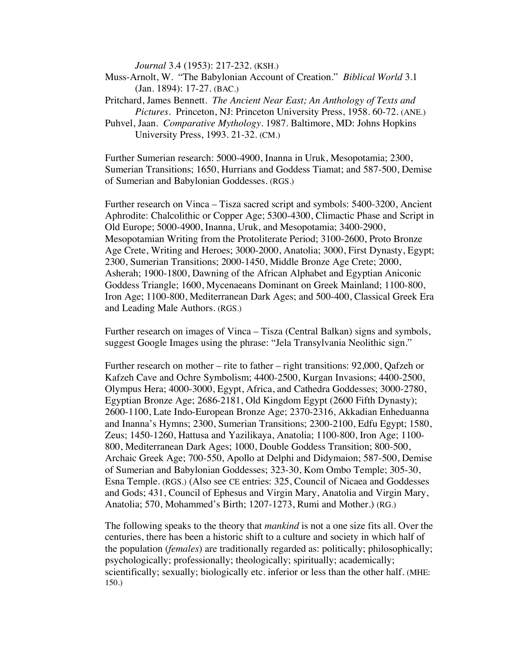*Journal* 3.4 (1953): 217-232. (KSH.)

Muss-Arnolt, W. "The Babylonian Account of Creation." *Biblical World* 3.1 (Jan. 1894): 17-27. (BAC.)

Pritchard, James Bennett. *The Ancient Near East; An Anthology of Texts and Pictures*. Princeton, NJ: Princeton University Press, 1958. 60-72. (ANE.)

Puhvel, Jaan. *Comparative Mythology*. 1987. Baltimore, MD: Johns Hopkins University Press, 1993. 21-32. (CM.)

Further Sumerian research: 5000-4900, Inanna in Uruk, Mesopotamia; 2300, Sumerian Transitions; 1650, Hurrians and Goddess Tiamat; and 587-500, Demise of Sumerian and Babylonian Goddesses. (RGS.)

Further research on Vinca – Tisza sacred script and symbols: 5400-3200, Ancient Aphrodite: Chalcolithic or Copper Age; 5300-4300, Climactic Phase and Script in Old Europe; 5000-4900, Inanna, Uruk, and Mesopotamia; 3400-2900, Mesopotamian Writing from the Protoliterate Period; 3100-2600, Proto Bronze Age Crete, Writing and Heroes; 3000-2000, Anatolia; 3000, First Dynasty, Egypt; 2300, Sumerian Transitions; 2000-1450, Middle Bronze Age Crete; 2000, Asherah; 1900-1800, Dawning of the African Alphabet and Egyptian Aniconic Goddess Triangle; 1600, Mycenaeans Dominant on Greek Mainland; 1100-800, Iron Age; 1100-800, Mediterranean Dark Ages; and 500-400, Classical Greek Era and Leading Male Authors. (RGS.)

Further research on images of Vinca – Tisza (Central Balkan) signs and symbols, suggest Google Images using the phrase: "Jela Transylvania Neolithic sign."

Further research on mother – rite to father – right transitions: 92,000, Qafzeh or Kafzeh Cave and Ochre Symbolism; 4400-2500, Kurgan Invasions; 4400-2500, Olympus Hera; 4000-3000, Egypt, Africa, and Cathedra Goddesses; 3000-2780, Egyptian Bronze Age; 2686-2181, Old Kingdom Egypt (2600 Fifth Dynasty); 2600-1100, Late Indo-European Bronze Age; 2370-2316, Akkadian Enheduanna and Inanna's Hymns; 2300, Sumerian Transitions; 2300-2100, Edfu Egypt; 1580, Zeus; 1450-1260, Hattusa and Yazilikaya, Anatolia; 1100-800, Iron Age; 1100- 800, Mediterranean Dark Ages; 1000, Double Goddess Transition; 800-500, Archaic Greek Age; 700-550, Apollo at Delphi and Didymaion; 587-500, Demise of Sumerian and Babylonian Goddesses; 323-30, Kom Ombo Temple; 305-30, Esna Temple. (RGS.) (Also see CE entries: 325, Council of Nicaea and Goddesses and Gods; 431, Council of Ephesus and Virgin Mary, Anatolia and Virgin Mary, Anatolia; 570, Mohammed's Birth; 1207-1273, Rumi and Mother.) (RG.)

The following speaks to the theory that *mankind* is not a one size fits all. Over the centuries, there has been a historic shift to a culture and society in which half of the population (*females*) are traditionally regarded as: politically; philosophically; psychologically; professionally; theologically; spiritually; academically; scientifically; sexually; biologically etc. inferior or less than the other half. (MHE: 150.)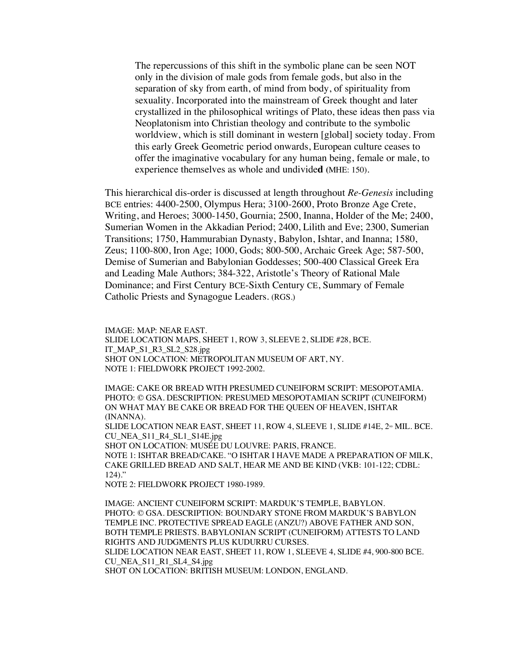The repercussions of this shift in the symbolic plane can be seen NOT only in the division of male gods from female gods, but also in the separation of sky from earth, of mind from body, of spirituality from sexuality. Incorporated into the mainstream of Greek thought and later crystallized in the philosophical writings of Plato, these ideas then pass via Neoplatonism into Christian theology and contribute to the symbolic worldview, which is still dominant in western [global] society today. From this early Greek Geometric period onwards, European culture ceases to offer the imaginative vocabulary for any human being, female or male, to experience themselves as whole and undivide**d (**MHE: 150).

This hierarchical dis-order is discussed at length throughout *Re-Genesis* including BCE entries: 4400-2500, Olympus Hera; 3100-2600, Proto Bronze Age Crete, Writing, and Heroes; 3000-1450, Gournia; 2500, Inanna, Holder of the Me; 2400, Sumerian Women in the Akkadian Period; 2400, Lilith and Eve; 2300, Sumerian Transitions; 1750, Hammurabian Dynasty, Babylon, Ishtar, and Inanna; 1580, Zeus; 1100-800, Iron Age; 1000, Gods; 800-500, Archaic Greek Age; 587-500, Demise of Sumerian and Babylonian Goddesses; 500-400 Classical Greek Era and Leading Male Authors; 384-322, Aristotle's Theory of Rational Male Dominance; and First Century BCE-Sixth Century CE, Summary of Female Catholic Priests and Synagogue Leaders. (RGS.)

IMAGE: MAP: NEAR EAST. SLIDE LOCATION MAPS, SHEET 1, ROW 3, SLEEVE 2, SLIDE #28, BCE. IT\_MAP\_S1\_R3\_SL2\_S28.jpg SHOT ON LOCATION: METROPOLITAN MUSEUM OF ART, NY. NOTE 1: FIELDWORK PROJECT 1992-2002.

IMAGE: CAKE OR BREAD WITH PRESUMED CUNEIFORM SCRIPT: MESOPOTAMIA. PHOTO: © GSA. DESCRIPTION: PRESUMED MESOPOTAMIAN SCRIPT (CUNEIFORM) ON WHAT MAY BE CAKE OR BREAD FOR THE QUEEN OF HEAVEN, ISHTAR (INANNA).

SLIDE LOCATION NEAR EAST, SHEET 11, ROW 4, SLEEVE 1, SLIDE  $#14E$ ,  $2^{\omega}$  MIL. BCE. CU\_NEA\_S11\_R4\_SL1\_S14E.jpg

SHOT ON LOCATION: MUSÉE DU LOUVRE: PARIS, FRANCE. NOTE 1: ISHTAR BREAD/CAKE. "O ISHTAR I HAVE MADE A PREPARATION OF MILK, CAKE GRILLED BREAD AND SALT, HEAR ME AND BE KIND (VKB: 101-122; CDBL: 124)."

NOTE 2: FIELDWORK PROJECT 1980-1989.

IMAGE: ANCIENT CUNEIFORM SCRIPT: MARDUK'S TEMPLE, BABYLON. PHOTO: © GSA. DESCRIPTION: BOUNDARY STONE FROM MARDUK'S BABYLON TEMPLE INC. PROTECTIVE SPREAD EAGLE (ANZU?) ABOVE FATHER AND SON, BOTH TEMPLE PRIESTS. BABYLONIAN SCRIPT (CUNEIFORM) ATTESTS TO LAND RIGHTS AND JUDGMENTS PLUS KUDURRU CURSES. SLIDE LOCATION NEAR EAST, SHEET 11, ROW 1, SLEEVE 4, SLIDE #4, 900-800 BCE.

CU\_NEA\_S11\_R1\_SL4\_S4.jpg

SHOT ON LOCATION: BRITISH MUSEUM: LONDON, ENGLAND.